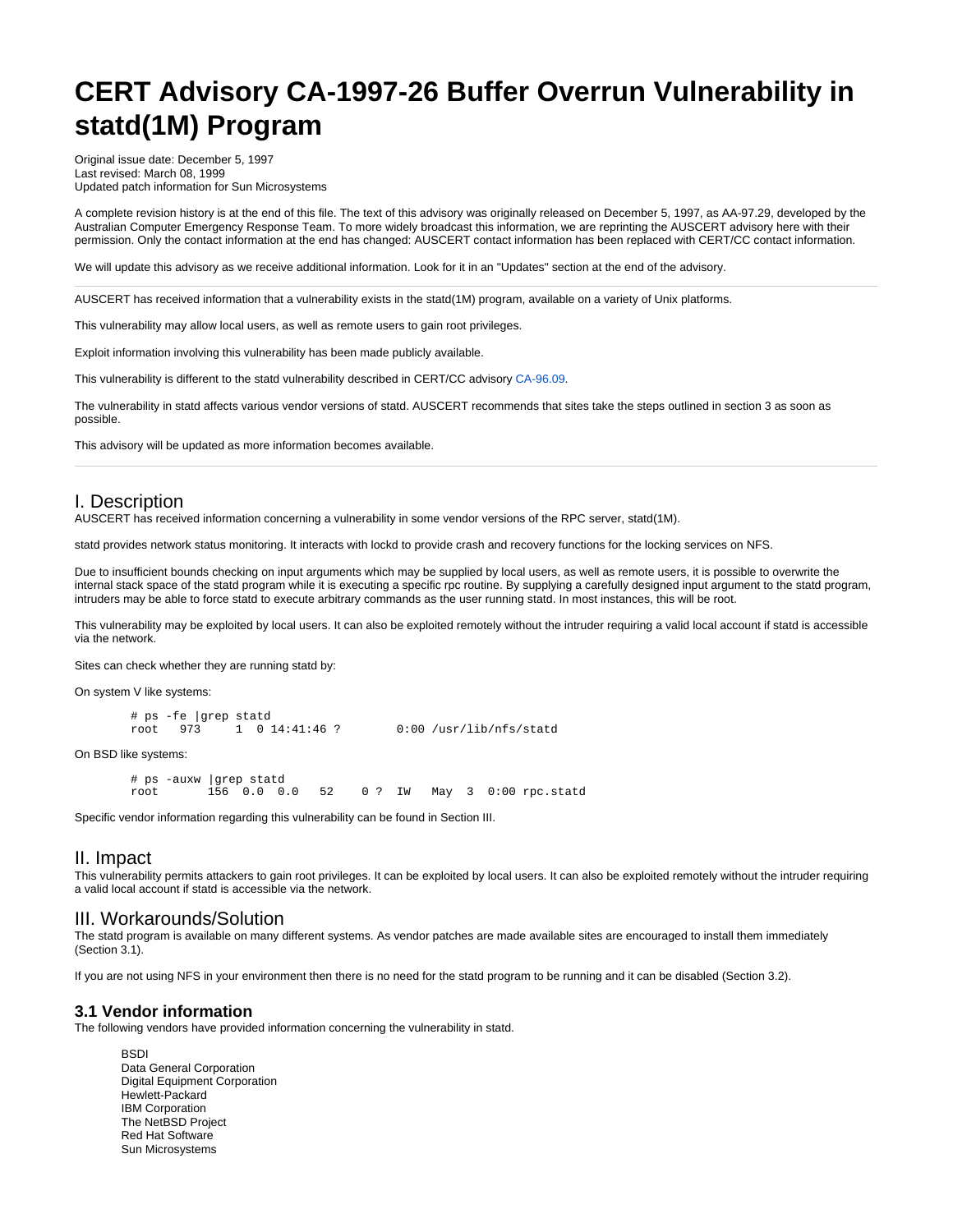# **CERT Advisory CA-1997-26 Buffer Overrun Vulnerability in statd(1M) Program**

Original issue date: December 5, 1997 Last revised: March 08, 1999 Updated patch information for Sun Microsystems

A complete revision history is at the end of this file. The text of this advisory was originally released on December 5, 1997, as AA-97.29, developed by the Australian Computer Emergency Response Team. To more widely broadcast this information, we are reprinting the AUSCERT advisory here with their permission. Only the contact information at the end has changed: AUSCERT contact information has been replaced with CERT/CC contact information.

We will update this advisory as we receive additional information. Look for it in an "Updates" section at the end of the advisory.

AUSCERT has received information that a vulnerability exists in the statd(1M) program, available on a variety of Unix platforms.

This vulnerability may allow local users, as well as remote users to gain root privileges.

Exploit information involving this vulnerability has been made publicly available.

This vulnerability is different to the statd vulnerability described in CERT/CC advisory [CA-96.09](http://www.cert.org/advisories/CA-96.09.rpc.statd.html).

The vulnerability in statd affects various vendor versions of statd. AUSCERT recommends that sites take the steps outlined in section 3 as soon as possible.

This advisory will be updated as more information becomes available.

## I. Description

AUSCERT has received information concerning a vulnerability in some vendor versions of the RPC server, statd(1M).

statd provides network status monitoring. It interacts with lockd to provide crash and recovery functions for the locking services on NFS.

Due to insufficient bounds checking on input arguments which may be supplied by local users, as well as remote users, it is possible to overwrite the internal stack space of the statd program while it is executing a specific rpc routine. By supplying a carefully designed input argument to the statd program, intruders may be able to force statd to execute arbitrary commands as the user running statd. In most instances, this will be root.

This vulnerability may be exploited by local users. It can also be exploited remotely without the intruder requiring a valid local account if statd is accessible via the network.

Sites can check whether they are running statd by:

On system V like systems:

```
 # ps -fe |grep statd
root 973 1 0 14:41:46 ? 0:00 /usr/lib/nfs/statd
```
On BSD like systems:

```
 # ps -auxw |grep statd
                      52 0 ? IW May 3 0:00 rpc.statd
```
Specific vendor information regarding this vulnerability can be found in Section III.

## II. Impact

This vulnerability permits attackers to gain root privileges. It can be exploited by local users. It can also be exploited remotely without the intruder requiring a valid local account if statd is accessible via the network.

## III. Workarounds/Solution

The statd program is available on many different systems. As vendor patches are made available sites are encouraged to install them immediately (Section 3.1).

If you are not using NFS in your environment then there is no need for the statd program to be running and it can be disabled (Section 3.2).

#### **3.1 Vendor information**

The following vendors have provided information concerning the vulnerability in statd.

**BSDI** Data General Corporation Digital Equipment Corporation Hewlett-Packard IBM Corporation The NetBSD Project Red Hat Software Sun Microsystems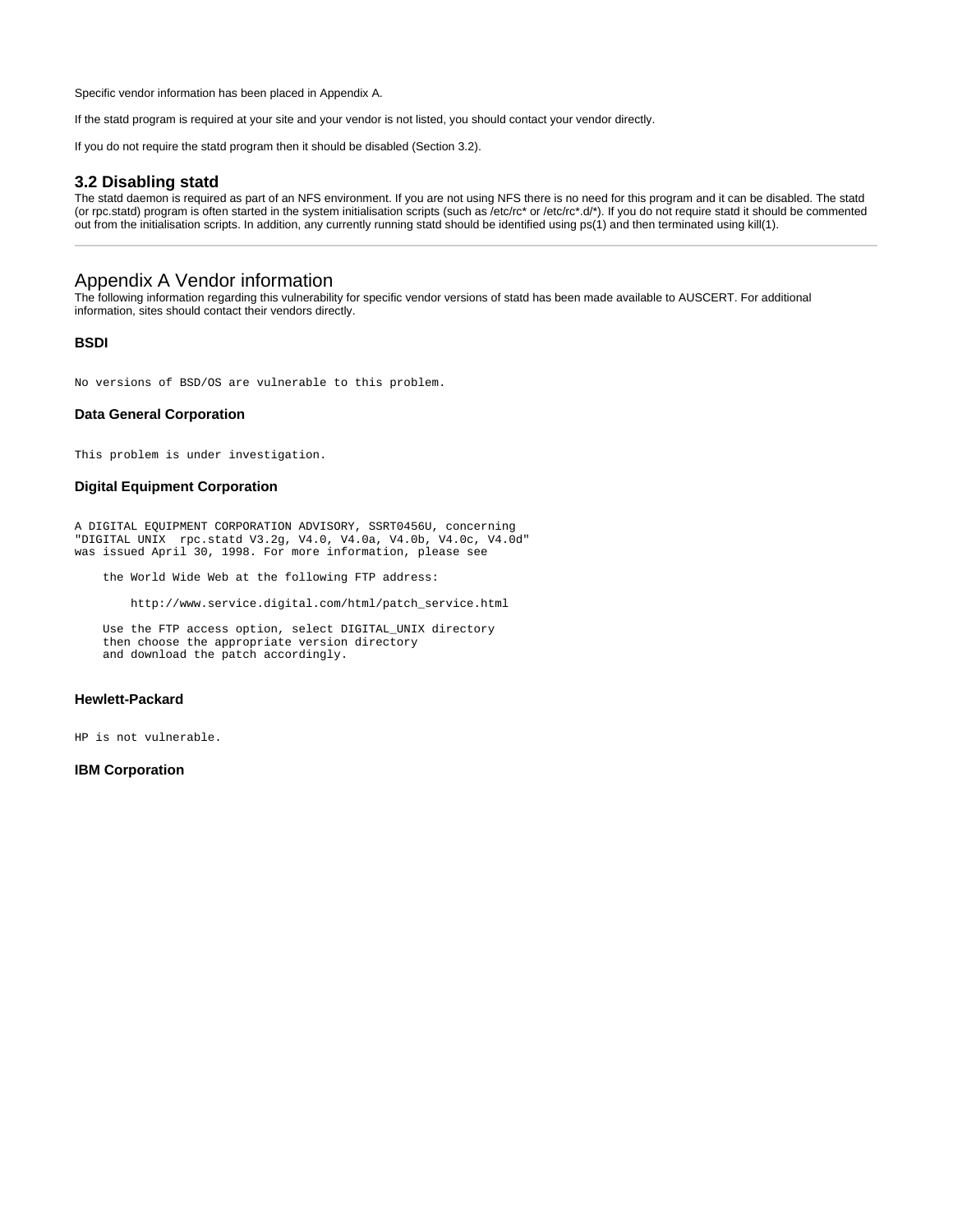Specific vendor information has been placed in Appendix A.

If the statd program is required at your site and your vendor is not listed, you should contact your vendor directly.

If you do not require the statd program then it should be disabled (Section 3.2).

## **3.2 Disabling statd**

The statd daemon is required as part of an NFS environment. If you are not using NFS there is no need for this program and it can be disabled. The statd (or rpc.statd) program is often started in the system initialisation scripts (such as /etc/rc\* or /etc/rc\*.d/\*). If you do not require statd it should be commented out from the initialisation scripts. In addition, any currently running statd should be identified using ps(1) and then terminated using kill(1).

## Appendix A Vendor information

The following information regarding this vulnerability for specific vendor versions of statd has been made available to AUSCERT. For additional information, sites should contact their vendors directly.

## **BSDI**

No versions of BSD/OS are vulnerable to this problem.

## **Data General Corporation**

This problem is under investigation.

#### **Digital Equipment Corporation**

A DIGITAL EQUIPMENT CORPORATION ADVISORY, SSRT0456U, concerning "DIGITAL UNIX rpc.statd V3.2g, V4.0, V4.0a, V4.0b, V4.0c, V4.0d" was issued April 30, 1998. For more information, please see

the World Wide Web at the following FTP address:

http://www.service.digital.com/html/patch\_service.html

Use the FTP access option, select DIGITAL UNIX directory then choose the appropriate version directory and download the patch accordingly.

#### **Hewlett-Packard**

HP is not vulnerable.

#### **IBM Corporation**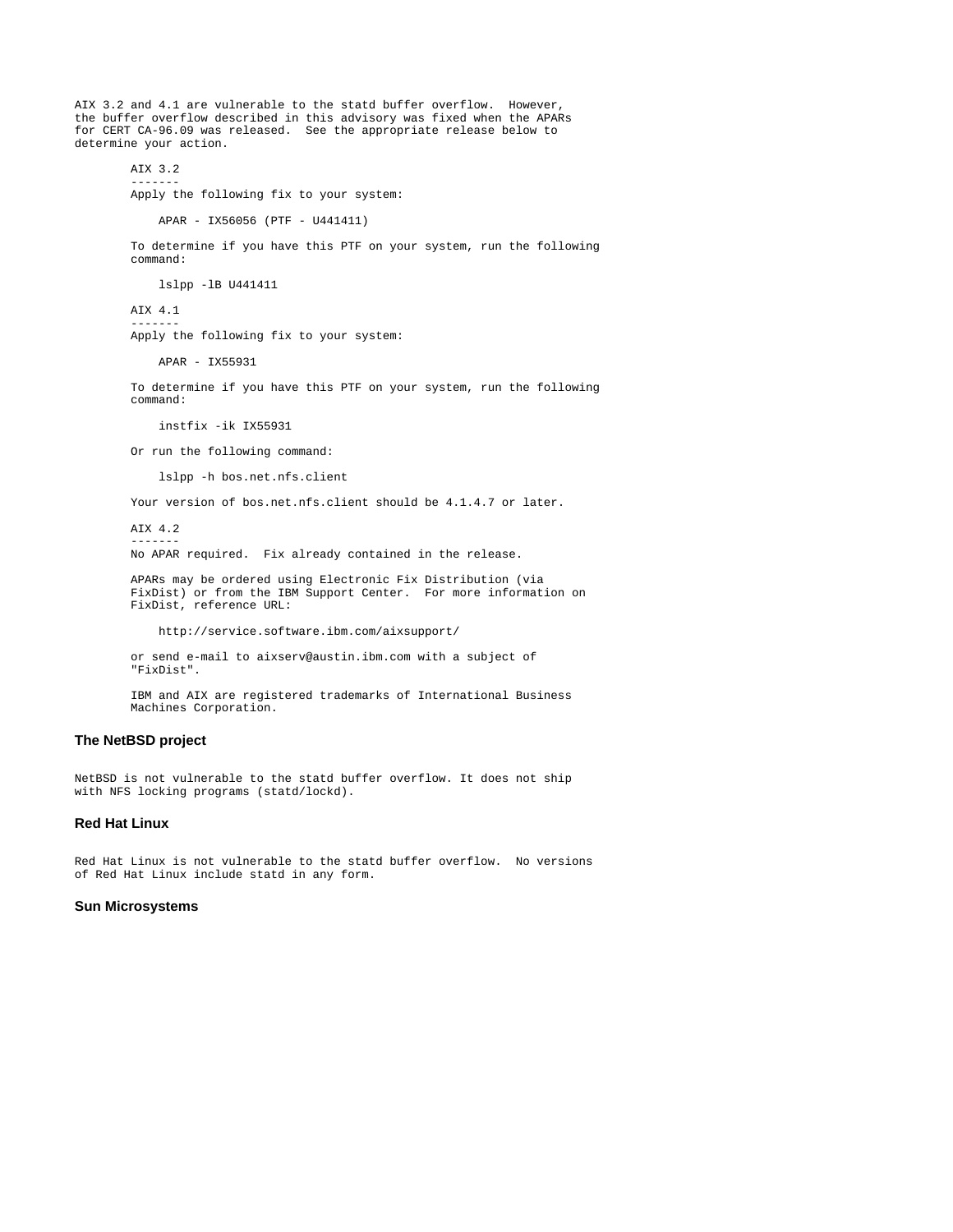AIX 3.2 and 4.1 are vulnerable to the statd buffer overflow. However, the buffer overflow described in this advisory was fixed when the APARs for CERT CA-96.09 was released. See the appropriate release below to determine your action.

AIX 3.2

 ------- Apply the following fix to your system:

```
 APAR - IX56056 (PTF - U441411)
```
 To determine if you have this PTF on your system, run the following command:

lslpp -lB U441411

 AIX 4.1 ------- Apply the following fix to your system:

APAR - IX55931

 To determine if you have this PTF on your system, run the following command:

instfix -ik IX55931

Or run the following command:

lslpp -h bos.net.nfs.client

Your version of bos.net.nfs.client should be 4.1.4.7 or later.

 AIX 4.2 -------

No APAR required. Fix already contained in the release.

 APARs may be ordered using Electronic Fix Distribution (via FixDist) or from the IBM Support Center. For more information on FixDist, reference URL:

http://service.software.ibm.com/aixsupport/

 or send e-mail to aixserv@austin.ibm.com with a subject of "FixDist".

 IBM and AIX are registered trademarks of International Business Machines Corporation.

## **The NetBSD project**

NetBSD is not vulnerable to the statd buffer overflow. It does not ship with NFS locking programs (statd/lockd).

#### **Red Hat Linux**

Red Hat Linux is not vulnerable to the statd buffer overflow. No versions of Red Hat Linux include statd in any form.

#### **Sun Microsystems**